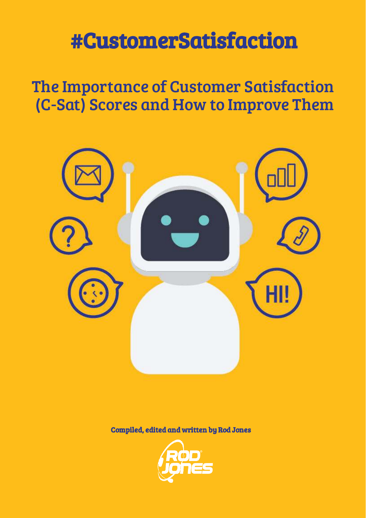# #CustomerSatisfaction

## The Importance of Customer Satisfaction (C-Sat) Scores and How to Improve Them



Compiled, edited and written by Rod Jones

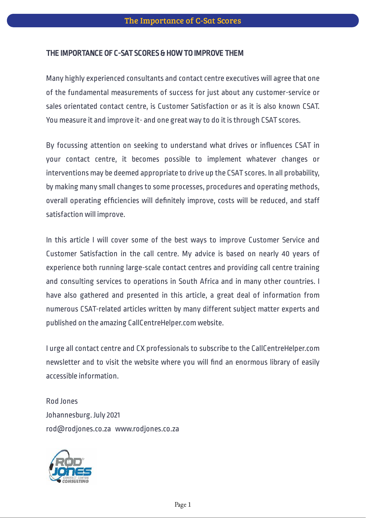#### THE IMPORTANCE OF C-SAT SCORES & HOW TO IMPROVE THEM

Many highly experienced consultants and contact centre executives will agree that one of the fundamental measurements of success for just about any customer-service or sales orientated contact centre, is Customer Satisfaction or as it is also known CSAT. You measure it and improve it- and one great way to do it is through CSAT scores.

By focussing attention on seeking to understand what drives or influences CSAT in your contact centre, it becomes possible to implement whatever changes or interventions may be deemed appropriate to drive up the CSAT scores. In all probability, by making many small changes to some processes, procedures and operating methods, overall operating efficiencies will definitely improve, costs will be reduced, and staff satisfaction will improve.

In this article I will cover some of the best ways to improve Customer Service and Customer Satisfaction in the call centre. My advice is based on nearly 40 years of experience both running large-scale contact centres and providing call centre training and consulting services to operations in South Africa and in many other countries. I have also gathered and presented in this article, a great deal of information from numerous CSAT-related articles written by many different subject matter experts and published on the amazing CallCentreHelper.com website.

I urge all contact centre and CX professionals to subscribe to the CallCentreHelper.com newsletter and to visit the website where you will find an enormous library of easily accessible information.

Rod Jones Johannesburg. July 2021 rod@rodjones.co.za www.rodjones.co.za

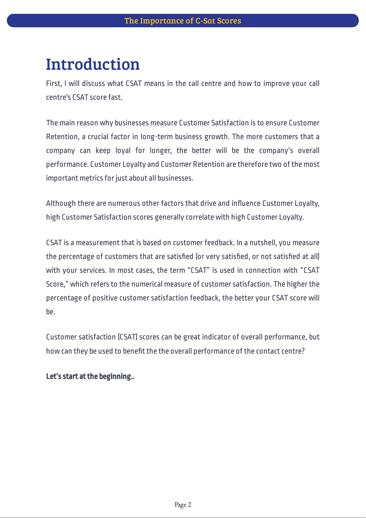### Introduction

First, I will discuss what CSAT means in the call centre and how to improve your call centre's CSAT score fast.

The main reason why businesses measure Customer Satisfaction is to ensure Customer Retention, a crucial factor in long-term business growth. The more customers that a company can keep loyal for longer, the better will be the company's overall performance. Customer Loyalty and Customer Retention are therefore two of the most important metrics for just about all businesses.

Although there are numerous other factors that drive and influence Customer Loyalty, high Customer Satisfaction scores generally correlate with high Customer Loyalty.

CSAT is a measurement that is based on customer feedback. In a nutshell, you measure the percentage of customers that are satisfied (or very satisfied, or not satisfied at all) with your services. In most cases, the term "CSAT" is used in connection with "CSAT Score," which refers to the numerical measure of customer satisfaction. The higher the percentage of positive customer satisfaction feedback, the better your CSAT score will be.

Customer satisfaction (CSAT) scores can be great indicator of overall performance, but how can they be used to benefit the the overall performance of the contact centre?

#### Let's start at the beginning..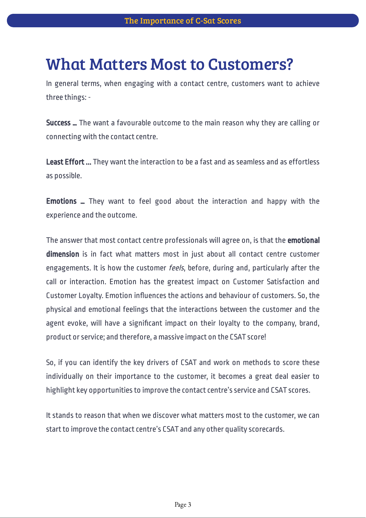### What Matters Most to Customers?

In general terms, when engaging with a contact centre, customers want to achieve three things: -

Success ... The want a favourable outcome to the main reason why they are calling or connecting with the contact centre.

Least Effort ... They want the interaction to be a fast and as seamless and as effortless as possible.

Emotions ... They want to feel good about the interaction and happy with the experience and the outcome.

The answer that most contact centre professionals will agree on, is that the emotional dimension is in fact what matters most in just about all contact centre customer engagements. It is how the customer feels, before, during and, particularly after the call or interaction. Emotion has the greatest impact on Customer Satisfaction and Customer Loyalty. Emotion influences the actions and behaviour of customers. So, the physical and emotional feelings that the interactions between the customer and the agent evoke, will have a significant impact on their loyalty to the company, brand, product or service; and therefore, a massive impact on the CSAT score!

So, if you can identify the key drivers of CSAT and work on methods to score these individually on their importance to the customer, it becomes a great deal easier to highlight key opportunities to improve the contact centre's service and CSAT scores.

It stands to reason that when we discover what matters most to the customer, we can start to improve the contact centre's CSAT and any other quality scorecards.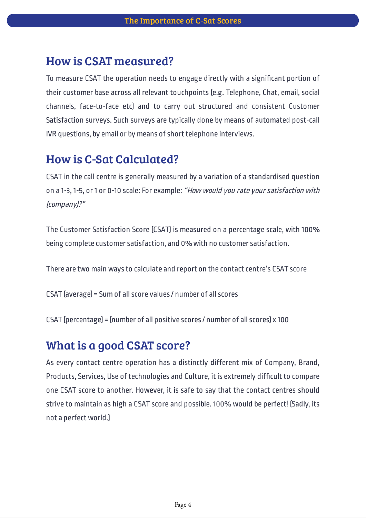### How is CSAT measured?

To measure CSAT the operation needs to engage directly with a significant portion of their customer base across all relevant touchpoints (e.g. Telephone, Chat, email, social channels, face-to-face etc) and to carry out structured and consistent Customer Satisfaction surveys. Such surveys are typically done by means of automated post-call IVR questions, by email or by means of short telephone interviews.

### How is C-Sat Calculated?

CSAT in the call centre is generally measured by a variation of a standardised question on a 1-3, 1-5, or 1 or 0-10 scale: For example: "How would you rate your satisfaction with (company)?"

The Customer Satisfaction Score (CSAT) is measured on a percentage scale, with 100% being complete customer satisfaction, and 0% with no customer satisfaction.

There are two main ways to calculate and report on the contact centre's CSAT score

CSAT (average) = Sum of all score values / number of all scores

CSAT (percentage) = (number of all positive scores / number of all scores) x 100

### What is a good CSAT score?

As every contact centre operation has a distinctly different mix of Company, Brand, Products, Services, Use of technologies and Culture, it is extremely difficult to compare one CSAT score to another. However, it is safe to say that the contact centres should strive to maintain as high a CSAT score and possible. 100% would be perfect! (Sadly, its not a perfect world.)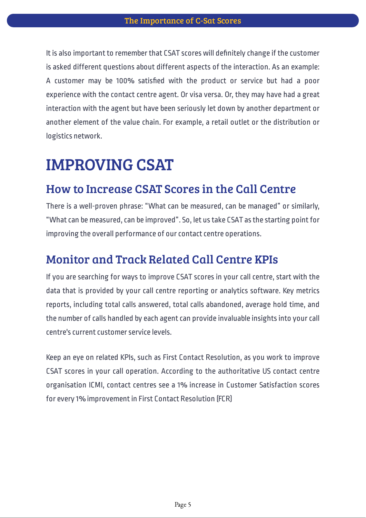It is also important to remember that CSAT scores will definitely change if the customer is asked different questions about different aspects of the interaction. As an example: A customer may be 100% satisfied with the product or service but had a poor experience with the contact centre agent. Or visa versa. Or, they may have had a great interaction with the agent but have been seriously let down by another department or another element of the value chain. For example, a retail outlet or the distribution or logistics network.

### IMPROVING CSAT

#### How to Increase CSAT Scores in the Call Centre

There is a well-proven phrase: "What can be measured, can be managed" or similarly, "What can be measured, can be improved". So, let us take CSAT as the starting point for improving the overall performance of our contact centre operations.

#### Monitor and Track Related Call Centre KPIs

If you are searching for ways to improve CSAT scores in your call centre, start with the data that is provided by your call centre reporting or analytics software. Key metrics reports, including total calls answered, total calls abandoned, average hold time, and the number of calls handled by each agent can provide invaluable insights into your call centre's current customer service levels.

Keep an eye on related KPIs, such as First Contact Resolution, as you work to improve CSAT scores in your call operation. According to the authoritative US contact centre organisation ICMI, contact centres see a 1% increase in Customer Satisfaction scores for every 1% improvement in First Contact Resolution (FCR)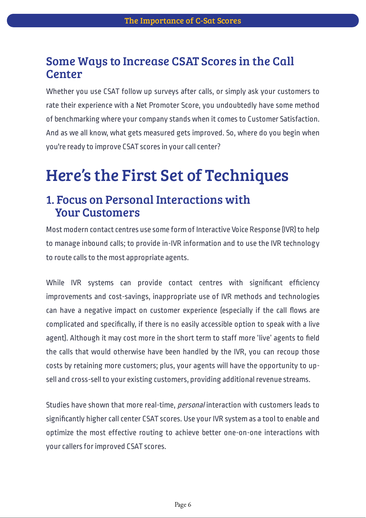### Some Ways to Increase CSAT Scores in the Call **Center**

Whether you use CSAT follow up surveys after calls, or simply ask your customers to rate their experience with a Net Promoter Score, you undoubtedly have some method of benchmarking where your company stands when it comes to Customer Satisfaction. And as we all know, what gets measured gets improved. So, where do you begin when you're ready to improve CSAT scores in your call center?

## Here's the First Set of Techniques

### 1. Focus on Personal Interactions with Your Customers

Most modern contact centres use some form of Interactive Voice Response (IVR) to help to manage inbound calls; to provide in-IVR information and to use the IVR technology to route calls to the most appropriate agents.

While IVR systems can provide contact centres with significant efficiency improvements and cost-savings, inappropriate use of IVR methods and technologies can have a negative impact on customer experience (especially if the call flows are complicated and specifically, if there is no easily accessible option to speak with a live agent). Although it may cost more in the short term to staff more 'live' agents to field the calls that would otherwise have been handled by the IVR, you can recoup those costs by retaining more customers; plus, your agents will have the opportunity to upsell and cross-sell to your existing customers, providing additional revenue streams.

Studies have shown that more real-time, *personal* interaction with customers leads to significantly higher call center CSAT scores. Use your IVR system as a tool to enable and optimize the most effective routing to achieve better one-on-one interactions with your callers for improved CSAT scores.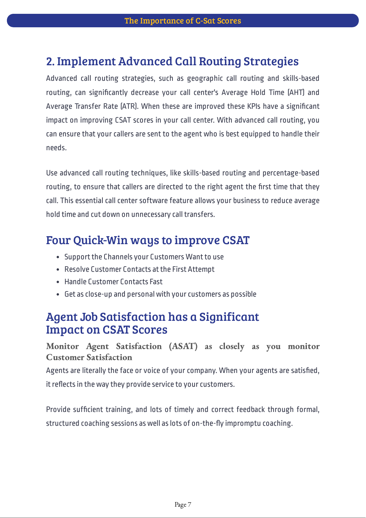### 2. Implement Advanced Call Routing Strategies

Advanced call routing strategies, such as geographic call routing and skills-based routing, can significantly decrease your call center's Average Hold Time (AHT) and Average Transfer Rate [ATR]. When these are improved these KPIs have a significant impact on improving CSAT scores in your call center. With advanced call routing, you can ensure that your callers are sent to the agent who is best equipped to handle their needs.

Use advanced call routing techniques, like skills-based routing and percentage-based routing, to ensure that callers are directed to the right agent the first time that they call. This essential call center software feature allows your business to reduce average hold time and cut down on unnecessary call transfers.

### Four Quick-Win ways to improve CSAT

- Support the Channels your Customers Want to use
- Resolve Customer Contacts at the First Attempt
- Handle Customer Contacts Fast
- Get as close-up and personal with your customers as possible

### Agent Job Satisfaction has a Significant Impact on CSAT Scores

Monitor Agent Satisfaction (ASAT) as closely as you monitor Customer Satisfaction

Agents are literally the face or voice of your company. When your agents are satisfied, it reflects in the way they provide service to your customers.

Provide sufficient training, and lots of timely and correct feedback through formal, structured coaching sessions as well as lots of on-the-fly impromptu coaching.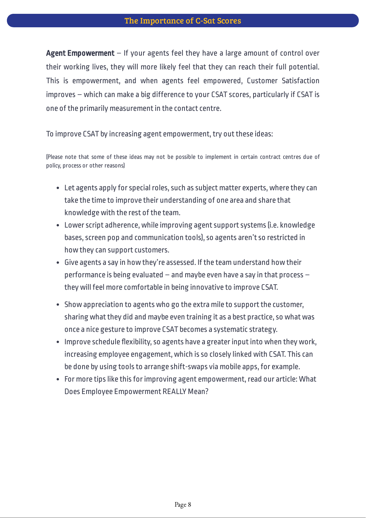Agent Empowerment - If your agents feel they have a large amount of control over their working lives, they will more likely feel that they can reach their full potential. This is empowerment, and when agents feel empowered, Customer Satisfaction improves – which can make a big difference to your CSAT scores, particularly if CSAT is one of the primarily measurement in the contact centre.

To improve CSAT by increasing agent empowerment, try out these ideas:

(Please note that some of these ideas may not be possible to implement in certain contract centres due of policy, process or other reasons)

- Let agents apply for special roles, such as subject matter experts, where they can take the time to improve their understanding of one area and share that knowledge with the rest of the team.
- Lower script adherence, while improving agent support systems (i.e. knowledge bases, screen pop and communication tools), so agents aren't so restricted in how they can support customers.
- Give agents a say in how they're assessed. If the team understand how their performance is being evaluated – and maybe even have a say in that process – they will feel more comfortable in being innovative to improve CSAT.
- Show appreciation to agents who go the extra mile to support the customer, sharing what they did and maybe even training it as a best practice, so what was once a nice gesture to improve CSAT becomes a systematic strategy.
- Improve schedule flexibility, so agents have a greater input into when they work, increasing employee engagement, which is so closely linked with CSAT. This can be done by using tools to arrange shift-swaps via mobile apps, for example.
- For more tips like this for improving agent empowerment, read our article: What Does Employee Empowerment REALLY Mean?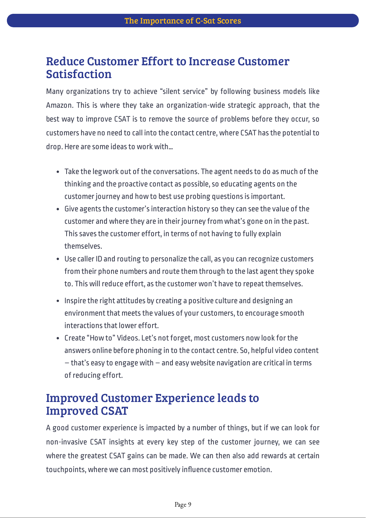### Reduce Customer Effort to Increase Customer Satisfaction

Many organizations try to achieve "silent service" by following business models like Amazon. This is where they take an organization-wide strategic approach, that the best way to improve CSAT is to remove the source of problems before they occur, so customers have no need to call into the contact centre, where CSAT has the potential to drop. Here are some ideas to work with…

- Take the legwork out of the conversations. The agent needs to do as much of the thinking and the proactive contact as possible, so educating agents on the customer journey and how to best use probing questions is important.
- Give agents the customer's interaction history so they can see the value of the customer and where they are in their journey from what's gone on in the past. This saves the customer effort, in terms of not having to fully explain themselves.
- Use caller ID and routing to personalize the call, as you can recognize customers from their phone numbers and route them through to the last agent they spoke to. This will reduce effort, as the customer won't have to repeat themselves.
- Inspire the right attitudes by creating a positive culture and designing an environment that meets the values of your customers, to encourage smooth interactions that lower effort.
- Create "How to" Videos. Let's not forget, most customers now look for the answers online before phoning in to the contact centre. So, helpful video content – that's easy to engage with – and easy website navigation are critical in terms of reducing effort.

### Improved Customer Experience leads to Improved CSAT

A good customer experience is impacted by a number of things, but if we can look for non-invasive CSAT insights at every key step of the customer journey, we can see where the greatest CSAT gains can be made. We can then also add rewards at certain touchpoints, where we can most positively influence customer emotion.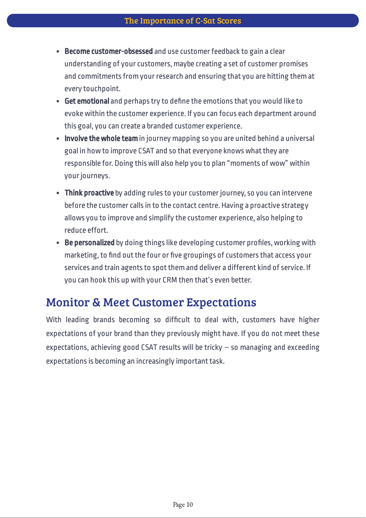- Become customer-obsessed and use customer feedback to gain a clear understanding of your customers, maybe creating a set of customer promises and commitments from your research and ensuring that you are hitting them at every touchpoint.
- Get emotional and perhaps try to define the emotions that you would like to evoke within the customer experience. If you can focus each department around this goal, you can create a branded customer experience.
- Involve the whole team in journey mapping so you are united behind a universal goal in how to improve CSAT and so that everyone knows what they are responsible for. Doing this will also help you to plan "moments of wow" within your journeys.
- Think proactive by adding rules to your customer journey, so you can intervene before the customer calls in to the contact centre. Having a proactive strategy allows you to improve and simplify the customer experience, also helping to reduce effort.
- Be personalized by doing things like developing customer profiles, working with marketing, to find out the four or five groupings of customers that access your services and train agents to spot them and deliver a different kind of service. If you can hook this up with your CRM then that's even better.

### Monitor & Meet Customer Expectations

With leading brands becoming so difficult to deal with, customers have higher expectations of your brand than they previously might have. If you do not meet these expectations, achieving good CSAT results will be tricky – so managing and exceeding expectations is becoming an increasingly important task.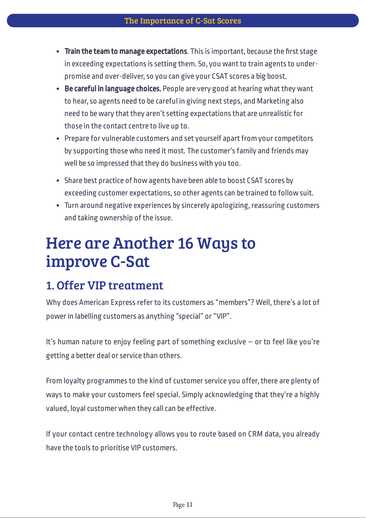- Train the team to manage expectations. This is important, because the first stage in exceeding expectations is setting them. So, you want to train agents to underpromise and over-deliver, so you can give your CSAT scores a big boost.
- Be careful in language choices. People are very good at hearing what they want to hear, so agents need to be careful in giving next steps, and Marketing also need to be wary that they aren't setting expectations that are unrealistic for those in the contact centre to live up to.
- Prepare for vulnerable customers and set yourself apart from your competitors by supporting those who need it most. The customer's family and friends may well be so impressed that they do business with you too.
- Share best practice of how agents have been able to boost CSAT scores by exceeding customer expectations, so other agents can be trained to follow suit.
- Turn around negative experiences by sincerely apologizing, reassuring customers and taking ownership of the issue.

### Here are Another 16 Ways to improve C-Sat

### 1. Offer VIP treatment

Why does American Express refer to its customers as "members"? Well, there's a lot of power in labelling customers as anything "special" or "VIP".

It's human nature to enjoy feeling part of something exclusive – or to feel like you're getting a better deal or service than others.

From loyalty programmes to the kind of customer service you offer, there are plenty of ways to make your customers feel special. Simply acknowledging that they're a highly valued, loyal customer when they call can be effective.

If your contact centre technology allows you to route based on CRM data, you already have the tools to prioritise VIP customers.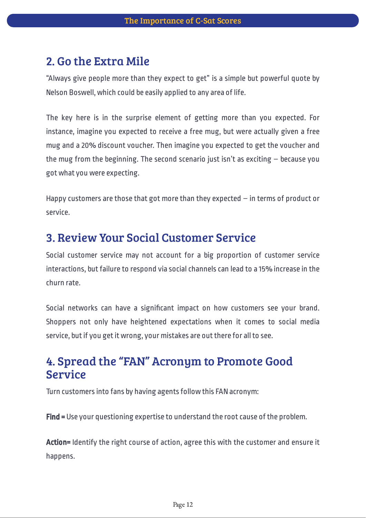### 2. Go the Extra Mile

"Always give people more than they expect to get" is a simple but powerful quote by Nelson Boswell, which could be easily applied to any area of life.

The key here is in the surprise element of getting more than you expected. For instance, imagine you expected to receive a free mug, but were actually given a free mug and a 20% discount voucher. Then imagine you expected to get the voucher and the mug from the beginning. The second scenario just isn't as exciting  $-$  because you got what you were expecting.

Happy customers are those that got more than they expected – in terms of product or service.

#### 3. Review Your Social Customer Service

Social customer service may not account for a big proportion of customer service interactions, but failure to respond via social channels can lead to a 15% increase in the churn rate.

Social networks can have a significant impact on how customers see your brand. Shoppers not only have heightened expectations when it comes to social media service, but if you get it wrong, your mistakes are out there for all to see.

### 4. Spread the "FAN" Acronym to Promote Good Service

Turn customers into fans by having agents follow this FAN acronym:

Find = Use your questioning expertise to understand the root cause of the problem.

Action= Identify the right course of action, agree this with the customer and ensure it happens.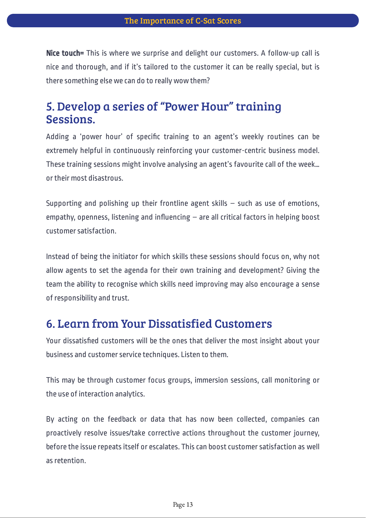Nice touch= This is where we surprise and delight our customers. A follow-up call is nice and thorough, and if it's tailored to the customer it can be really special, but is there something else we can do to really wow them?

### 5. Develop a series of "Power Hour" training Sessions.

Adding a 'power hour' of specific training to an agent's weekly routines can be extremely helpful in continuously reinforcing your customer-centric business model. These training sessions might involve analysing an agent's favourite call of the week… or their most disastrous.

Supporting and polishing up their frontline agent skills  $-$  such as use of emotions, empathy, openness, listening and influencing  $-$  are all critical factors in helping boost customer satisfaction.

Instead of being the initiator for which skills these sessions should focus on, why not allow agents to set the agenda for their own training and development? Giving the team the ability to recognise which skills need improving may also encourage a sense of responsibility and trust.

### 6. Learn from Your Dissatisfied Customers

Your dissatisfied customers will be the ones that deliver the most insight about your business and customer service techniques. Listen to them.

This may be through customer focus groups, immersion sessions, call monitoring or the use of interaction analytics.

By acting on the feedback or data that has now been collected, companies can proactively resolve issues/take corrective actions throughout the customer journey, before the issue repeats itself or escalates. This can boost customer satisfaction as well as retention.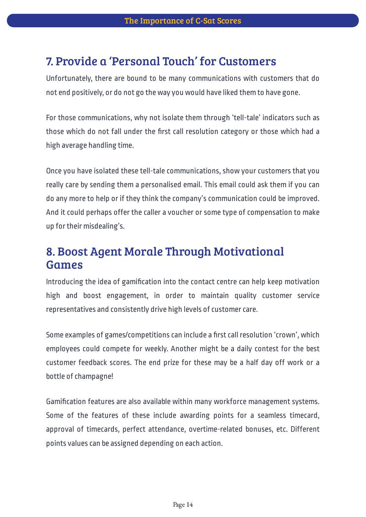### 7. Provide a 'Personal Touch' for Customers

Unfortunately, there are bound to be many communications with customers that do not end positively, or do not go the way you would have liked them to have gone.

For those communications, why not isolate them through 'tell-tale' indicators such as those which do not fall under the first call resolution category or those which had a high average handling time.

Once you have isolated these tell-tale communications, show your customers that you really care by sending them a personalised email. This email could ask them if you can do any more to help or if they think the company's communication could be improved. And it could perhaps offer the caller a voucher or some type of compensation to make up for their misdealing's.

### 8. Boost Agent Morale Through Motivational Games

Introducing the idea of gamification into the contact centre can help keep motivation high and boost engagement, in order to maintain quality customer service representatives and consistently drive high levels of customer care.

Some examples of games/competitions can include a first call resolution 'crown', which employees could compete for weekly. Another might be a daily contest for the best customer feedback scores. The end prize for these may be a half day off work or a bottle of champagne!

Gamification features are also available within many workforce management systems. Some of the features of these include awarding points for a seamless timecard, approval of timecards, perfect attendance, overtime-related bonuses, etc. Different points values can be assigned depending on each action.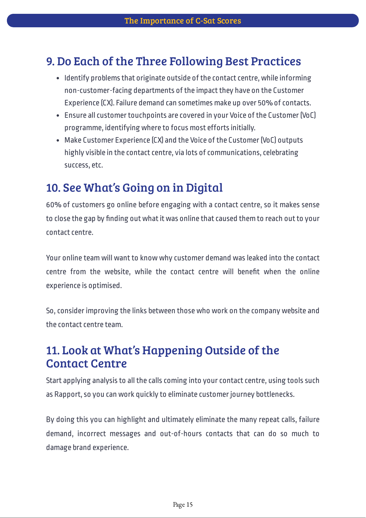### 9. Do Each of the Three Following Best Practices

- Identify problems that originate outside of the contact centre, while informing non-customer-facing departments of the impact they have on the Customer Experience (CX). Failure demand can sometimes make up over 50% of contacts.
- Ensure all customer touchpoints are covered in your Voice of the Customer (VoC) programme, identifying where to focus most efforts initially.
- Make Customer Experience (CX) and the Voice of the Customer (VoC) outputs highly visible in the contact centre, via lots of communications, celebrating success, etc.

### 10. See What's Going on in Digital

60% of customers go online before engaging with a contact centre, so it makes sense to close the gap by finding out what it was online that caused them to reach out to your contact centre.

Your online team will want to know why customer demand was leaked into the contact centre from the website, while the contact centre will benefit when the online experience is optimised.

So, consider improving the links between those who work on the company website and the contact centre team.

### 11. Look at What's Happening Outside of the Contact Centre

Start applying analysis to all the calls coming into your contact centre, using tools such as Rapport, so you can work quickly to eliminate customer journey bottlenecks.

By doing this you can highlight and ultimately eliminate the many repeat calls, failure demand, incorrect messages and out-of-hours contacts that can do so much to damage brand experience.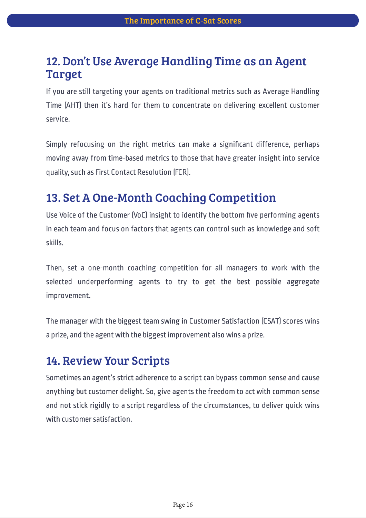### 12. Don't Use Average Handling Time as an Agent Target

If you are still targeting your agents on traditional metrics such as Average Handling Time (AHT) then it's hard for them to concentrate on delivering excellent customer service.

Simply refocusing on the right metrics can make a significant difference, perhaps moving away from time-based metrics to those that have greater insight into service quality, such as First Contact Resolution (FCR).

### 13. Set A One-Month Coaching Competition

Use Voice of the Customer (VoC) insight to identify the bottom five performing agents in each team and focus on factors that agents can control such as knowledge and soft skills.

Then, set a one-month coaching competition for all managers to work with the selected underperforming agents to try to get the best possible aggregate improvement.

The manager with the biggest team swing in Customer Satisfaction (CSAT) scores wins a prize, and the agent with the biggest improvement also wins a prize.

### 14. Review Your Scripts

Sometimes an agent's strict adherence to a script can bypass common sense and cause anything but customer delight. So, give agents the freedom to act with common sense and not stick rigidly to a script regardless of the circumstances, to deliver quick wins with customer satisfaction.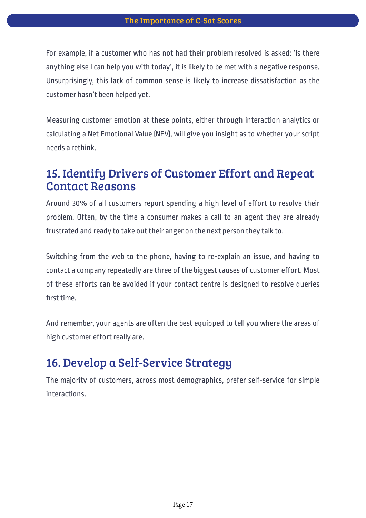For example, if a customer who has not had their problem resolved is asked: 'Is there anything else I can help you with today', it is likely to be met with a negative response. Unsurprisingly, this lack of common sense is likely to increase dissatisfaction as the customer hasn't been helped yet.

Measuring customer emotion at these points, either through interaction analytics or calculating a Net Emotional Value (NEV), will give you insight as to whether your script needs a rethink.

### 15. Identify Drivers of Customer Effort and Repeat Contact Reasons

Around 30% of all customers report spending a high level of effort to resolve their problem. Often, by the time a consumer makes a call to an agent they are already frustrated and ready to take out their anger on the next person they talk to.

Switching from the web to the phone, having to re-explain an issue, and having to contact a company repeatedly are three of the biggest causes of customer effort. Most of these efforts can be avoided if your contact centre is designed to resolve queries first time.

And remember, your agents are often the best equipped to tell you where the areas of high customer effort really are.

### 16. Develop a Self-Service Strategy

The majority of customers, across most demographics, prefer self-service for simple interactions.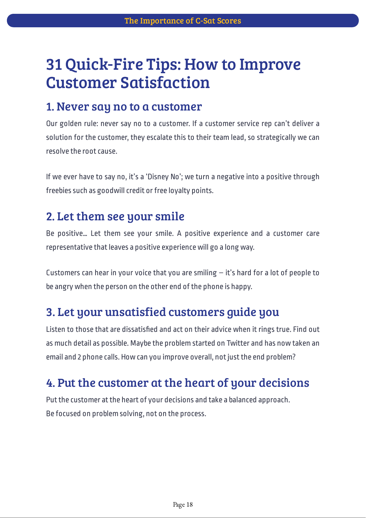## 31 Quick-Fire Tips: How to Improve Customer Satisfaction

#### 1. Never say no to a customer

Our golden rule: never say no to a customer. If a customer service rep can't deliver a solution for the customer, they escalate this to their team lead, so strategically we can resolve the root cause.

If we ever have to say no, it's a 'Disney No'; we turn a negative into a positive through freebies such as goodwill credit or free loyalty points.

### 2. Let them see your smile

Be positive… Let them see your smile. A positive experience and a customer care representative that leaves a positive experience will go a long way.

Customers can hear in your voice that you are smiling  $-$  it's hard for a lot of people to be angry when the person on the other end of the phone is happy.

### 3. Let your unsatisfied customers guide you

Listen to those that are dissatisfied and act on their advice when it rings true. Find out as much detail as possible. Maybe the problem started on Twitter and has now taken an email and 2 phone calls. How can you improve overall, not just the end problem?

### 4. Put the customer at the heart of your decisions

Put the customer at the heart of your decisions and take a balanced approach. Be focused on problem solving, not on the process.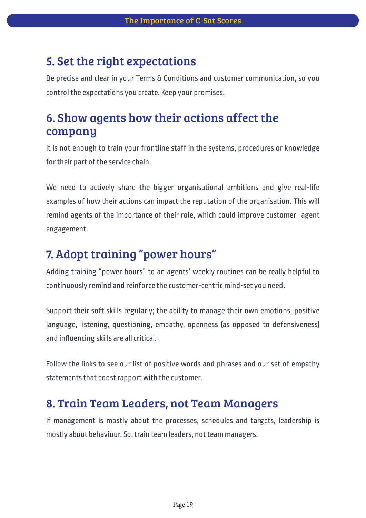### 5. Set the right expectations

Be precise and clear in your Terms & Conditions and customer communication, so you control the expectations you create. Keep your promises.

### 6. Show agents how their actions affect the company

It is not enough to train your frontline staff in the systems, procedures or knowledge for their part of the service chain.

We need to actively share the bigger organisational ambitions and give real-life examples of how their actions can impact the reputation of the organisation. This will remind agents of the importance of their role, which could improve customer–agent engagement.

### 7. Adopt training "power hours"

Adding training "power hours" to an agents' weekly routines can be really helpful to continuously remind and reinforce the customer-centric mind-set you need.

Support their soft skills regularly; the ability to manage their own emotions, positive language, listening, questioning, empathy, openness (as opposed to defensiveness) and influencing skills are all critical.

Follow the links to see our list of positive words and phrases and our set of empathy statements that boost rapport with the customer.

### 8. Train Team Leaders, not Team Managers

If management is mostly about the processes, schedules and targets, leadership is mostly about behaviour. So, train team leaders, not team managers.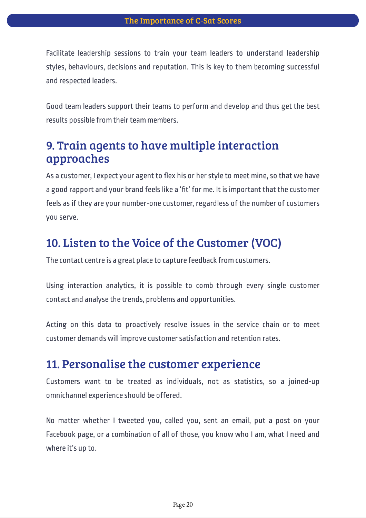Facilitate leadership sessions to train your team leaders to understand leadership styles, behaviours, decisions and reputation. This is key to them becoming successful and respected leaders.

Good team leaders support their teams to perform and develop and thus get the best results possible from their team members.

### 9. Train agents to have multiple interaction approaches

As a customer, I expect your agent to flex his or her style to meet mine, so that we have a good rapport and your brand feels like a 'fit' for me. It is important that the customer feels as if they are your number-one customer, regardless of the number of customers you serve.

### 10. Listen to the Voice of the Customer (VOC)

The contact centre is a great place to capture feedback from customers.

Using interaction analytics, it is possible to comb through every single customer contact and analyse the trends, problems and opportunities.

Acting on this data to proactively resolve issues in the service chain or to meet customer demands will improve customer satisfaction and retention rates.

#### 11. Personalise the customer experience

Customers want to be treated as individuals, not as statistics, so a joined-up omnichannel experience should be offered.

No matter whether I tweeted you, called you, sent an email, put a post on your Facebook page, or a combination of all of those, you know who I am, what I need and where it's up to.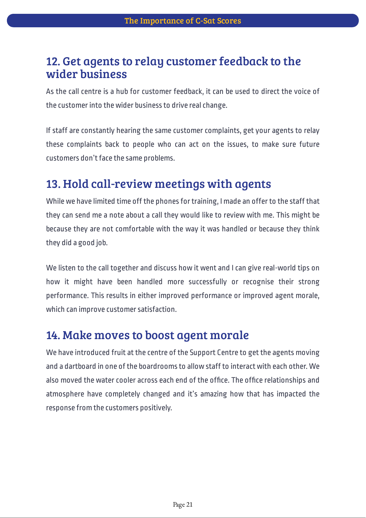### 12. Get agents to relay customer feedback to the wider business

As the call centre is a hub for customer feedback, it can be used to direct the voice of the customer into the wider business to drive real change.

If staff are constantly hearing the same customer complaints, get your agents to relay these complaints back to people who can act on the issues, to make sure future customers don't face the same problems.

### 13. Hold call-review meetings with agents

While we have limited time off the phones for training, I made an offer to the staff that they can send me a note about a call they would like to review with me. This might be because they are not comfortable with the way it was handled or because they think they did a good job.

We listen to the call together and discuss how it went and I can give real-world tips on how it might have been handled more successfully or recognise their strong performance. This results in either improved performance or improved agent morale, which can improve customer satisfaction.

### 14. Make moves to boost agent morale

We have introduced fruit at the centre of the Support Centre to get the agents moving and a dartboard in one of the boardrooms to allow staff to interact with each other. We also moved the water cooler across each end of the office. The office relationships and atmosphere have completely changed and it's amazing how that has impacted the response from the customers positively.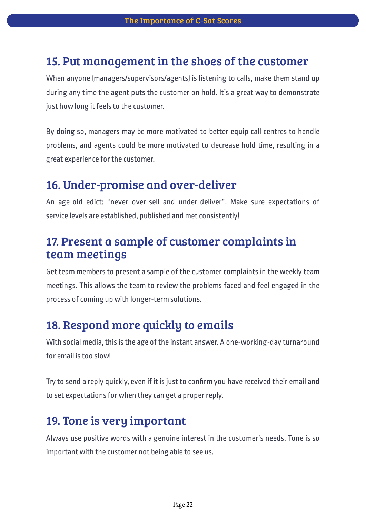### 15. Put management in the shoes of the customer

When anyone (managers/supervisors/agents) is listening to calls, make them stand up during any time the agent puts the customer on hold. It's a great way to demonstrate just how long it feels to the customer.

By doing so, managers may be more motivated to better equip call centres to handle problems, and agents could be more motivated to decrease hold time, resulting in a great experience for the customer.

### 16. Under-promise and over-deliver

An age-old edict: "never over-sell and under-deliver". Make sure expectations of service levels are established, published and met consistently!

### 17. Present a sample of customer complaints in team meetings

Get team members to present a sample of the customer complaints in the weekly team meetings. This allows the team to review the problems faced and feel engaged in the process of coming up with longer-term solutions.

### 18. Respond more quickly to emails

With social media, this is the age of the instant answer. A one-working-day turnaround for email is too slow!

Try to send a reply quickly, even if it is just to confirm you have received their email and to set expectations for when they can get a proper reply.

### 19. Tone is very important

Always use positive words with a genuine interest in the customer's needs. Tone is so important with the customer not being able to see us.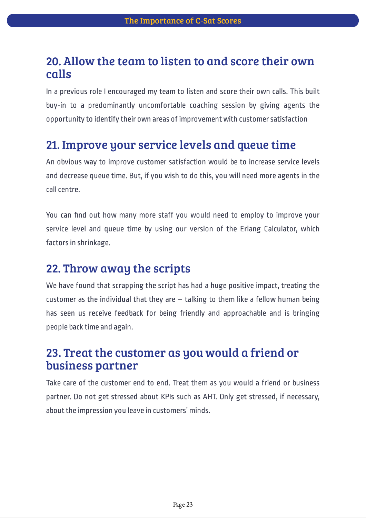### 20. Allow the team to listen to and score their own calls

In a previous role I encouraged my team to listen and score their own calls. This built buy-in to a predominantly uncomfortable coaching session by giving agents the opportunity to identify their own areas of improvement with customer satisfaction

### 21. Improve your service levels and queue time

An obvious way to improve customer satisfaction would be to increase service levels and decrease queue time. But, if you wish to do this, you will need more agents in the call centre.

You can find out how many more staff you would need to employ to improve your service level and queue time by using our version of the Erlang Calculator, which factors in shrinkage.

### 22. Throw away the scripts

We have found that scrapping the script has had a huge positive impact, treating the customer as the individual that they are  $-$  talking to them like a fellow human being has seen us receive feedback for being friendly and approachable and is bringing people back time and again.

### 23. Treat the customer as you would a friend or business partner

Take care of the customer end to end. Treat them as you would a friend or business partner. Do not get stressed about KPIs such as AHT. Only get stressed, if necessary, about the impression you leave in customers' minds.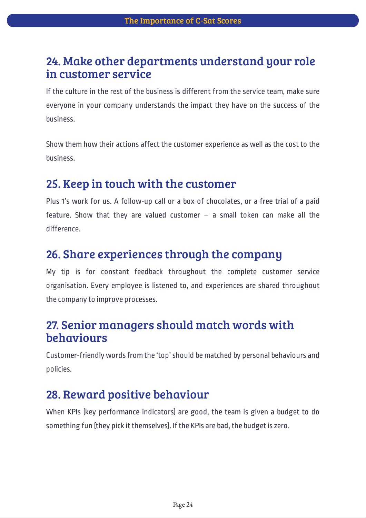### 24. Make other departments understand your role in customer service

If the culture in the rest of the business is different from the service team, make sure everyone in your company understands the impact they have on the success of the business.

Show them how their actions affect the customer experience as well as the cost to the business.

### 25. Keep in touch with the customer

Plus 1's work for us. A follow-up call or a box of chocolates, or a free trial of a paid feature. Show that they are valued customer  $-$  a small token can make all the difference.

### 26. Share experiences through the company

My tip is for constant feedback throughout the complete customer service organisation. Every employee is listened to, and experiences are shared throughout the company to improve processes.

### 27. Senior managers should match words with behaviours

Customer-friendly words from the 'top' should be matched by personal behaviours and policies.

### 28. Reward positive behaviour

When KPIs (key performance indicators) are good, the team is given a budget to do something fun (they pick it themselves). If the KPIs are bad, the budget is zero.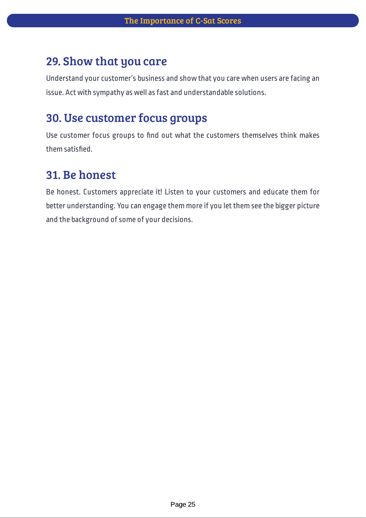### 29. Show that you care

Understand your customer's business and show that you care when users are facing an issue. Act with sympathy as well as fast and understandable solutions.

### 30. Use customer focus groups

Use customer focus groups to find out what the customers themselves think makes them satisfied.

### 31. Be honest

Be honest. Customers appreciate it! Listen to your customers and educate them for better understanding. You can engage them more if you let them see the bigger picture and the background of some of your decisions.